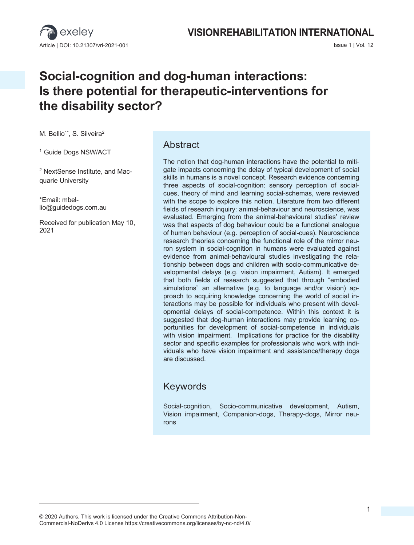

## **VISIONREHABILITATION INTERNATIONAL**

# **Social-cognition and dog-human interactions: Is there potential for therapeutic-interventions for the disability sector?**

M. Bellio<sup>1\*</sup>, S. Silveira<sup>2</sup>

<sup>1</sup> Guide Dogs NSW/ACT

<sup>2</sup> NextSense Institute, and Macquarie University

\*Email: mbellio@guidedogs.com.au

Received for publication May 10, 2021

#### Abstract

The notion that dog-human interactions have the potential to mitigate impacts concerning the delay of typical development of social skills in humans is a novel concept. Research evidence concerning three aspects of social-cognition: sensory perception of socialcues, theory of mind and learning social-schemas, were reviewed with the scope to explore this notion. Literature from two different fields of research inquiry: animal-behaviour and neuroscience, was evaluated. Emerging from the animal-behavioural studies' review was that aspects of dog behaviour could be a functional analogue of human behaviour (e.g. perception of social-cues). Neuroscience research theories concerning the functional role of the mirror neuron system in social-cognition in humans were evaluated against evidence from animal-behavioural studies investigating the relationship between dogs and children with socio-communicative developmental delays (e.g. vision impairment, Autism). It emerged that both fields of research suggested that through "embodied simulations" an alternative (e.g. to language and/or vision) approach to acquiring knowledge concerning the world of social interactions may be possible for individuals who present with developmental delays of social-competence. Within this context it is suggested that dog-human interactions may provide learning opportunities for development of social-competence in individuals with vision impairment. Implications for practice for the disability sector and specific examples for professionals who work with individuals who have vision impairment and assistance/therapy dogs are discussed.

#### Keywords

Social-cognition, Socio-communicative development, Autism, Vision impairment, Companion-dogs, Therapy-dogs, Mirror neurons

<sup>© 2020</sup> Authors. This work is licensed under the Creative Commons Attribution-Non-Commercial-NoDerivs 4.0 License https://creativecommons.org/licenses/by-nc-nd/4.0/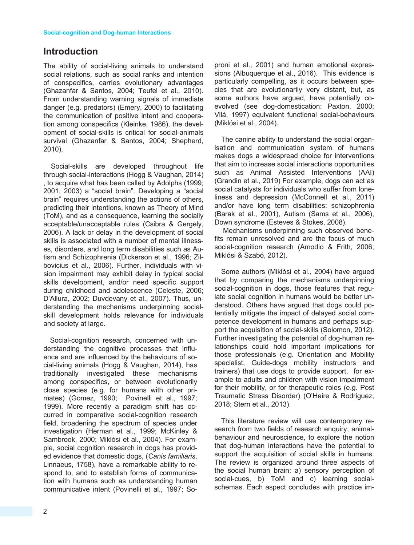### **Introduction**

The ability of social-living animals to understand social relations, such as social ranks and intention of conspecifics, carries evolutionary advantages (Ghazanfar & Santos, 2004; Teufel et al., 2010). From understanding warning signals of immediate danger (e.g. predators) (Emery, 2000) to facilitating the communication of positive intent and cooperation among conspecifics (Kleinke, 1986), the development of social-skills is critical for social-animals survival (Ghazanfar & Santos, 2004; Shepherd, 2010).

Social-skills are developed throughout life through social-interactions (Hogg & Vaughan, 2014) , to acquire what has been called by Adolphs (1999; 2001; 2003) a "social brain". Developing a "social brain" requires understanding the actions of others, predicting their intentions, known as Theory of Mind (ToM), and as a consequence, learning the socially acceptable/unacceptable rules (Csibra & Gergely, 2006). A lack or delay in the development of social skills is associated with a number of mental illnesses, disorders, and long term disabilities such as Autism and Schizophrenia (Dickerson et al., 1996; Zilbovicius et al., 2006). Further, individuals with vision impairment may exhibit delay in typical social skills development, and/or need specific support during childhood and adolescence (Celeste, 2006; D'Allura, 2002; Duvdevany et al., 2007). Thus, understanding the mechanisms underpinning socialskill development holds relevance for individuals and society at large.

Social-cognition research, concerned with understanding the cognitive processes that influence and are influenced by the behaviours of social-living animals (Hogg & Vaughan, 2014), has traditionally investigated these mechanisms among conspecifics, or between evolutionarily close species (e.g. for humans with other primates) (Gomez, 1990; Povinelli et al., 1997; 1999). More recently a paradigm shift has occurred in comparative social-cognition research field, broadening the spectrum of species under investigation (Herman et al., 1999; McKinley & Sambrook, 2000; Miklósi et al., 2004). For example, social cognition research in dogs has provided evidence that domestic dogs, (*Canis familiaris*, Linnaeus, 1758), have a remarkable ability to respond to, and to establish forms of communication with humans such as understanding human communicative intent (Povinelli et al., 1997; Soproni et al., 2001) and human emotional expressions (Albuquerque et al., 2016). This evidence is particularly compelling, as it occurs between species that are evolutionarily very distant, but, as some authors have argued, have potentially coevolved (see dog-domestication: Paxton, 2000; Vilá, 1997) equivalent functional social-behaviours (Miklósi et al., 2004).

The canine ability to understand the social organisation and communication system of humans makes dogs a widespread choice for interventions that aim to increase social interactions opportunities such as Animal Assisted Interventions (AAI) (Grandin et al., 2019) For example, dogs can act as social catalysts for individuals who suffer from loneliness and depression (McConnell et al., 2011) and/or have long term disabilities: schizophrenia (Barak et al., 2001), Autism (Sams et al., 2006), Down syndrome (Esteves & Stokes, 2008).

Mechanisms underpinning such observed benefits remain unresolved and are the focus of much social-cognition research (Amodio & Frith, 2006; Miklósi & Szabó, 2012).

Some authors (Miklósi et al., 2004) have argued that by comparing the mechanisms underpinning social-cognition in dogs, those features that regulate social cognition in humans would be better understood. Others have argued that dogs could potentially mitigate the impact of delayed social competence development in humans and perhaps support the acquisition of social-skills (Solomon, 2012). Further investigating the potential of dog-human relationships could hold important implications for those professionals (e.g. Orientation and Mobility specialist, Guide-dogs mobility instructors and trainers) that use dogs to provide support, for example to adults and children with vision impairment for their mobility, or for therapeutic roles (e.g. Post Traumatic Stress Disorder) (O'Haire & Rodriguez, 2018; Stern et al., 2013).

This literature review will use contemporary research from two fields of research enquiry; animalbehaviour and neuroscience, to explore the notion that dog-human interactions have the potential to support the acquisition of social skills in humans. The review is organized around three aspects of the social human brain: a) sensory perception of social-cues, b) ToM and c) learning socialschemas. Each aspect concludes with practice im-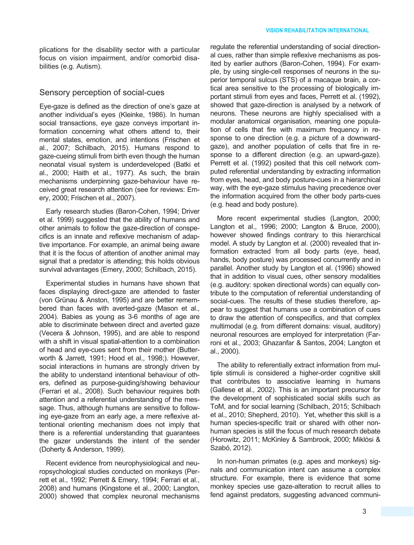plications for the disability sector with a particular focus on vision impairment, and/or comorbid disabilities (e.g. Autism).

#### Sensory perception of social-cues

Eye-gaze is defined as the direction of one's gaze at another individual's eyes (Kleinke, 1986). In human social transactions, eye gaze conveys important information concerning what others attend to, their mental states, emotion, and intentions (Frischen et al., 2007; Schilbach, 2015). Humans respond to gaze-cueing stimuli from birth even though the human neonatal visual system is underdeveloped (Batki et al., 2000; Haith et al., 1977). As such, the brain mechanisms underpinning gaze-behaviour have received great research attention (see for reviews: Emery, 2000; Frischen et al., 2007).

Early research studies (Baron-Cohen, 1994; Driver et al. 1999) suggested that the ability of humans and other animals to follow the gaze-direction of conspecifics is an innate and reflexive mechanism of adaptive importance. For example, an animal being aware that it is the focus of attention of another animal may signal that a predator is attending; this holds obvious survival advantages (Emery, 2000; Schilbach, 2015).

Experimental studies in humans have shown that faces displaying direct-gaze are attended to faster (von Grünau & Anston, 1995) and are better remembered than faces with averted-gaze (Mason et al., 2004). Babies as young as 3-6 months of age are able to discriminate between direct and averted gaze (Vecera & Johnson, 1995), and are able to respond with a shift in visual spatial-attention to a combination of head and eye-cues sent from their mother (Butterworth & Jarrett, 1991; Hood et al., 1998;). However, social interactions in humans are strongly driven by the ability to understand intentional behaviour of others, defined as purpose-guiding/showing behaviour (Ferrari et al., 2008). Such behaviour requires both attention and a referential understanding of the message. Thus, although humans are sensitive to following eye-gaze from an early age, a mere reflexive attentional orienting mechanism does not imply that there is a referential understanding that guarantees the gazer understands the intent of the sender (Doherty & Anderson, 1999).

Recent evidence from neurophysiological and neuropsychological studies conducted on monkeys (Perrett et al., 1992; Perrett & Emery, 1994; Ferrari et al., 2008) and humans (Kingstone et al., 2000; Langton, 2000) showed that complex neuronal mechanisms regulate the referential understanding of social directional cues, rather than simple reflexive mechanisms as posited by earlier authors (Baron-Cohen, 1994). For example, by using single-cell responses of neurons in the superior temporal sulcus (STS) of a macaque brain, a cortical area sensitive to the processing of biologically important stimuli from eyes and faces, Perrett et al. (1992), showed that gaze-direction is analysed by a network of neurons. These neurons are highly specialised with a modular anatomical organisation, meaning one population of cells that fire with maximum frequency in response to one direction (e.g. a picture of a downwardgaze), and another population of cells that fire in response to a different direction (e.g. an upward-gaze). Perrett et al. (1992) posited that this cell network computed referential understanding by extracting information from eyes, head, and body posture-cues in a hierarchical way, with the eye-gaze stimulus having precedence over the information acquired from the other body parts-cues (e.g. head and body posture).

More recent experimental studies (Langton, 2000; Langton et al., 1996; 2000; Langton & Bruce, 2000), however showed findings contrary to this hierarchical model. A study by Langton et al. (2000) revealed that information extracted from all body parts (eye, head, hands, body posture) was processed concurrently and in parallel. Another study by Langton et al. (1996) showed that in addition to visual cues, other sensory modalities (e.g. auditory: spoken directional words) can equally contribute to the computation of referential understanding of social-cues. The results of these studies therefore, appear to suggest that humans use a combination of cues to draw the attention of conspecifics, and that complex multimodal (e.g. from different domains: visual, auditory) neuronal resources are employed for interpretation (Farroni et al., 2003; Ghazanfar & Santos, 2004; Langton et al., 2000).

The ability to referentially extract information from multiple stimuli is considered a higher-order cognitive skill that contributes to associative learning in humans (Gallese et al., 2002). This is an important precursor for the development of sophisticated social skills such as ToM, and for social learning (Schilbach, 2015; Schilbach et al., 2010; Shepherd, 2010). Yet, whether this skill is a human species-specific trait or shared with other nonhuman species is still the focus of much research debate (Horowitz, 2011; McKinley & Sambrook, 2000; Miklósi & Szabó, 2012).

In non-human primates (e.g. apes and monkeys) signals and communication intent can assume a complex structure. For example, there is evidence that some monkey species use gaze-alteration to recruit allies to fend against predators, suggesting advanced communi-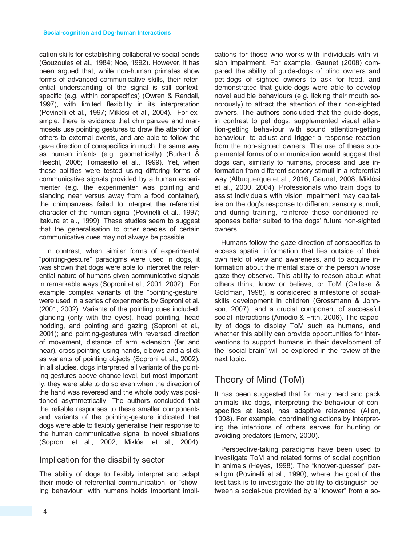cation skills for establishing collaborative social-bonds (Gouzoules et al., 1984; Noe, 1992). However, it has been argued that, while non-human primates show forms of advanced communicative skills, their referential understanding of the signal is still contextspecific (e.g. within conspecifics) (Owren & Rendall, 1997), with limited flexibility in its interpretation (Povinelli et al., 1997; Miklósi et al., 2004). For example, there is evidence that chimpanzee and marmosets use pointing gestures to draw the attention of others to external events, and are able to follow the gaze direction of conspecifics in much the same way as human infants (e.g. geometrically) (Burkart & Heschl, 2006; Tomasello et al., 1999). Yet, when these abilities were tested using differing forms of communicative signals provided by a human experimenter (e.g. the experimenter was pointing and standing near versus away from a food container), the chimpanzees failed to interpret the referential character of the human-signal (Povinelli et al., 1997; Itakura et al., 1999). These studies seem to suggest that the generalisation to other species of certain communicative cues may not always be possible.

In contrast, when similar forms of experimental "pointing-gesture" paradigms were used in dogs, it was shown that dogs were able to interpret the referential nature of humans given communicative signals in remarkable ways (Soproni et al., 2001; 2002). For example complex variants of the "pointing-gesture" were used in a series of experiments by Soproni et al. (2001, 2002). Variants of the pointing cues included: glancing (only with the eyes), head pointing, head nodding, and pointing and gazing (Soproni et al., 2001); and pointing-gestures with reversed direction of movement, distance of arm extension (far and near), cross-pointing using hands, elbows and a stick as variants of pointing objects (Soproni et al., 2002). In all studies, dogs interpreted all variants of the pointing-gestures above chance level, but most importantly, they were able to do so even when the direction of the hand was reversed and the whole body was positioned asymmetrically. The authors concluded that the reliable responses to these smaller components and variants of the pointing-gesture indicated that dogs were able to flexibly generalise their response to the human communicative signal to novel situations (Soproni et al., 2002; Miklósi et al., 2004).

#### Implication for the disability sector

The ability of dogs to flexibly interpret and adapt their mode of referential communication, or "showing behaviour" with humans holds important implications for those who works with individuals with vision impairment. For example, Gaunet (2008) compared the ability of guide-dogs of blind owners and pet-dogs of sighted owners to ask for food, and demonstrated that guide-dogs were able to develop novel audible behaviours (e.g. licking their mouth sonorously) to attract the attention of their non-sighted owners. The authors concluded that the guide-dogs, in contrast to pet dogs, supplemented visual attention-getting behaviour with sound attention-getting behaviour, to adjust and trigger a response reaction from the non-sighted owners. The use of these supplemental forms of communication would suggest that dogs can, similarly to humans, process and use information from different sensory stimuli in a referential way (Albuquerque et al., 2016; Gaunet, 2008; Miklósi et al., 2000, 2004). Professionals who train dogs to assist individuals with vision impairment may capitalise on the dog's response to different sensory stimuli, and during training, reinforce those conditioned responses better suited to the dogs' future non-sighted owners.

Humans follow the gaze direction of conspecifics to access spatial information that lies outside of their own field of view and awareness, and to acquire information about the mental state of the person whose gaze they observe. This ability to reason about what others think, know or believe, or ToM (Gallese & Goldman, 1998), is considered a milestone of socialskills development in children (Grossmann & Johnson, 2007), and a crucial component of successful social interactions (Amodio & Frith, 2006). The capacity of dogs to display ToM such as humans, and whether this ability can provide opportunities for interventions to support humans in their development of the "social brain" will be explored in the review of the next topic.

### Theory of Mind (ToM)

It has been suggested that for many herd and pack animals like dogs, interpreting the behaviour of conspecifics at least, has adaptive relevance (Allen, 1998). For example, coordinating actions by interpreting the intentions of others serves for hunting or avoiding predators (Emery, 2000).

Perspective-taking paradigms have been used to investigate ToM and related forms of social cognition in animals (Heyes, 1998). The "knower-guesser" paradigm (Povinelli et al., 1990), where the goal of the test task is to investigate the ability to distinguish between a social-cue provided by a "knower" from a so-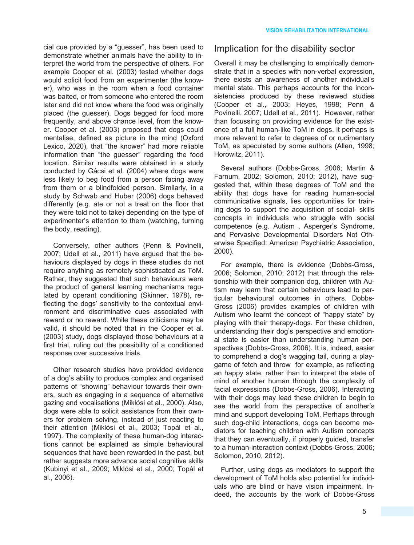cial cue provided by a "guesser", has been used to demonstrate whether animals have the ability to interpret the world from the perspective of others. For example Cooper et al. (2003) tested whether dogs would solicit food from an experimenter (the knower), who was in the room when a food container was baited, or from someone who entered the room later and did not know where the food was originally placed (the guesser). Dogs begged for food more frequently, and above chance level, from the knower. Cooper et al. (2003) proposed that dogs could mentalise, defined as picture in the mind (Oxford Lexico, 2020), that "the knower" had more reliable information than "the guesser" regarding the food location. Similar results were obtained in a study conducted by Gácsi et al. (2004) where dogs were less likely to beg food from a person facing away from them or a blindfolded person. Similarly, in a study by Schwab and Huber (2006) dogs behaved differently (e.g. ate or not a treat on the floor that they were told not to take) depending on the type of experimenter's attention to them (watching, turning the body, reading).

Conversely, other authors (Penn & Povinelli, 2007; Udell et al., 2011) have argued that the behaviours displayed by dogs in these studies do not require anything as remotely sophisticated as ToM. Rather, they suggested that such behaviours were the product of general learning mechanisms regulated by operant conditioning (Skinner, 1978), reflecting the dogs' sensitivity to the contextual environment and discriminative cues associated with reward or no reward. While these criticisms may be valid, it should be noted that in the Cooper et al. (2003) study, dogs displayed those behaviours at a first trial, ruling out the possibility of a conditioned response over successive trials.

Other research studies have provided evidence of a dog's ability to produce complex and organised patterns of "showing" behaviour towards their owners, such as engaging in a sequence of alternative gazing and vocalisations (Miklósi et al., 2000). Also, dogs were able to solicit assistance from their owners for problem solving, instead of just reacting to their attention (Miklósi et al., 2003; Topál et al., 1997). The complexity of these human-dog interactions cannot be explained as simple behavioural sequences that have been rewarded in the past, but rather suggests more advance social cognitive skills (Kubinyi et al., 2009; Miklósi et al., 2000; Topál et al., 2006).

#### Implication for the disability sector

Overall it may be challenging to empirically demonstrate that in a species with non-verbal expression, there exists an awareness of another individual's mental state. This perhaps accounts for the inconsistencies produced by these reviewed studies (Cooper et al., 2003; Heyes, 1998; Penn & Povinelli, 2007; Udell et al., 2011). However, rather than focussing on providing evidence for the existence of a full human-like ToM in dogs, it perhaps is more relevant to refer to degrees of or rudimentary ToM, as speculated by some authors (Allen, 1998; Horowitz, 2011).

Several authors (Dobbs-Gross, 2006; Martin & Farnum, 2002; Solomon, 2010; 2012), have suggested that, within these degrees of ToM and the ability that dogs have for reading human-social communicative signals, lies opportunities for training dogs to support the acquisition of social- skills concepts in individuals who struggle with social competence (e.g. Autism , Asperger's Syndrome, and Pervasive Developmental Disorders Not Otherwise Specified: American Psychiatric Association, 2000).

For example, there is evidence (Dobbs-Gross, 2006; Solomon, 2010; 2012) that through the relationship with their companion dog, children with Autism may learn that certain behaviours lead to particular behavioural outcomes in others. Dobbs-Gross (2006) provides examples of children with Autism who learnt the concept of "happy state" by playing with their therapy-dogs. For these children, understanding their dog's perspective and emotional state is easier than understanding human perspectives (Dobbs-Gross, 2006). It is, indeed, easier to comprehend a dog's wagging tail, during a playgame of fetch and throw for example, as reflecting an happy state, rather than to interpret the state of mind of another human through the complexity of facial expressions (Dobbs-Gross, 2006). Interacting with their dogs may lead these children to begin to see the world from the perspective of another's mind and support developing ToM. Perhaps through such dog-child interactions, dogs can become mediators for teaching children with Autism concepts that they can eventually, if properly guided, transfer to a human-interaction context (Dobbs-Gross, 2006; Solomon, 2010, 2012).

Further, using dogs as mediators to support the development of ToM holds also potential for individuals who are blind or have vision impairment. Indeed, the accounts by the work of Dobbs-Gross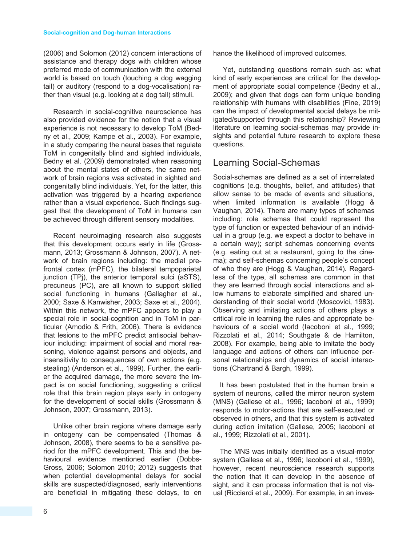(2006) and Solomon (2012) concern interactions of assistance and therapy dogs with children whose preferred mode of communication with the external world is based on touch (touching a dog wagging tail) or auditory (respond to a dog-vocalisation) rather than visual (e.g. looking at a dog tail) stimuli.

Research in social-cognitive neuroscience has also provided evidence for the notion that a visual experience is not necessary to develop ToM (Bedny et al., 2009; Kampe et al., 2003). For example, in a study comparing the neural bases that regulate ToM in congenitally blind and sighted individuals, Bedny et al. (2009) demonstrated when reasoning about the mental states of others, the same network of brain regions was activated in sighted and congenitally blind individuals. Yet, for the latter, this activation was triggered by a hearing experience rather than a visual experience. Such findings suggest that the development of ToM in humans can be achieved through different sensory modalities.

Recent neuroimaging research also suggests that this development occurs early in life (Grossmann, 2013; Grossmann & Johnson, 2007). A network of brain regions including: the medial prefrontal cortex (mPFC), the bilateral tempoparietal junction (TPj), the anterior temporal sulci (aSTS), precuneus (PC), are all known to support skilled social functioning in humans (Gallagher et al., 2000; Saxe & Kanwisher, 2003; Saxe et al., 2004). Within this network, the mPFC appears to play a special role in social-cognition and in ToM in particular (Amodio & Frith, 2006). There is evidence that lesions to the mPFC predict antisocial behaviour including: impairment of social and moral reasoning, violence against persons and objects, and insensitivity to consequences of own actions (e.g. stealing) (Anderson et al., 1999). Further, the earlier the acquired damage, the more severe the impact is on social functioning, suggesting a critical role that this brain region plays early in ontogeny for the development of social skills (Grossmann & Johnson, 2007; Grossmann, 2013).

Unlike other brain regions where damage early in ontogeny can be compensated (Thomas & Johnson, 2008), there seems to be a sensitive period for the mPFC development. This and the behavioural evidence mentioned earlier (Dobbs-Gross, 2006; Solomon 2010; 2012) suggests that when potential developmental delays for social skills are suspected/diagnosed, early interventions are beneficial in mitigating these delays, to en

hance the likelihood of improved outcomes.

Yet, outstanding questions remain such as: what kind of early experiences are critical for the development of appropriate social competence (Bedny et al., 2009); and given that dogs can form unique bonding relationship with humans with disabilities (Fine, 2019) can the impact of developmental social delays be mitigated/supported through this relationship? Reviewing literature on learning social-schemas may provide insights and potential future research to explore these questions.

### Learning Social-Schemas

Social-schemas are defined as a set of interrelated cognitions (e.g. thoughts, belief, and attitudes) that allow sense to be made of events and situations, when limited information is available (Hogg & Vaughan, 2014). There are many types of schemas including: role schemas that could represent the type of function or expected behaviour of an individual in a group (e.g. we expect a doctor to behave in a certain way); script schemas concerning events (e.g. eating out at a restaurant, going to the cinema); and self-schemas concerning people's concept of who they are (Hogg & Vaughan, 2014). Regardless of the type, all schemas are common in that they are learned through social interactions and allow humans to elaborate simplified and shared understanding of their social world (Moscovici, 1983). Observing and imitating actions of others plays a critical role in learning the rules and appropriate behaviours of a social world (Iacoboni et al., 1999; Rizzolati et al., 2014; Southgate & de Hamilton, 2008). For example, being able to imitate the body language and actions of others can influence personal relationships and dynamics of social interactions (Chartrand & Bargh, 1999).

It has been postulated that in the human brain a system of neurons, called the mirror neuron system (MNS) (Gallese et al., 1996; Iacoboni et al., 1999) responds to motor-actions that are self-executed or observed in others, and that this system is activated during action imitation (Gallese, 2005; Iacoboni et al., 1999; Rizzolati et al., 2001).

The MNS was initially identified as a visual-motor system (Gallese et al., 1996; Iacoboni et al., 1999), however, recent neuroscience research supports the notion that it can develop in the absence of sight, and it can process information that is not visual (Ricciardi et al., 2009). For example, in an inves-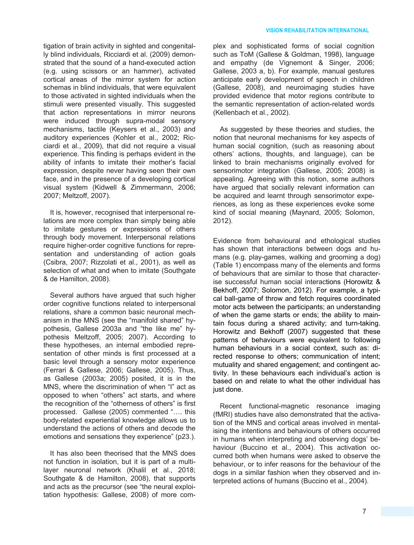tigation of brain activity in sighted and congenitally blind individuals, Ricciardi et al. (2009) demonstrated that the sound of a hand-executed action (e.g. using scissors or an hammer), activated cortical areas of the mirror system for action schemas in blind individuals, that were equivalent to those activated in sighted individuals when the stimuli were presented visually. This suggested that action representations in mirror neurons were induced through supra-modal sensory mechanisms, tactile (Keysers et al., 2003) and auditory experiences (Kohler et al., 2002; Ricciardi et al., 2009), that did not require a visual experience. This finding is perhaps evident in the ability of infants to imitate their mother's facial expression, despite never having seen their own face, and in the presence of a developing cortical visual system (Kidwell & Zimmermann, 2006; 2007; Meltzoff, 2007).

It is, however, recognised that interpersonal relations are more complex than simply being able to imitate gestures or expressions of others through body movement. Interpersonal relations require higher-order cognitive functions for representation and understanding of action goals (Csibra, 2007; Rizzolati et al., 2001), as well as selection of what and when to imitate (Southgate & de Hamilton, 2008).

Several authors have argued that such higher order cognitive functions related to interpersonal relations, share a common basic neuronal mechanism in the MNS (see the "manifold shared" hypothesis, Gallese 2003a and "the like me" hypothesis Meltzoff, 2005; 2007). According to these hypotheses, an internal embodied representation of other minds is first processed at a basic level through a sensory motor experience (Ferrari & Gallese, 2006; Gallese, 2005). Thus, as Gallese (2003a; 2005) posited, it is in the MNS, where the discrimination of when "I" act as opposed to when "others" act starts, and where the recognition of the "otherness of others" is first processed. Gallese (2005) commented "…. this body-related experiential knowledge allows us to understand the actions of others and decode the emotions and sensations they experience" (p23.).

It has also been theorised that the MNS does not function in isolation, but it is part of a multilayer neuronal network (Khalil et al., 2018; Southgate & de Hamilton, 2008), that supports and acts as the precursor (see "the neural exploitation hypothesis: Gallese, 2008) of more complex and sophisticated forms of social cognition such as ToM (Gallese & Goldman, 1998), language and empathy (de Vignemont & Singer, 2006; Gallese, 2003 a, b). For example, manual gestures anticipate early development of speech in children (Gallese, 2008), and neuroimaging studies have provided evidence that motor regions contribute to the semantic representation of action-related words (Kellenbach et al., 2002).

As suggested by these theories and studies, the notion that neuronal mechanisms for key aspects of human social cognition, (such as reasoning about others' actions, thoughts, and language), can be linked to brain mechanisms originally evolved for sensorimotor integration (Gallese, 2005; 2008) is appealing. Agreeing with this notion, some authors have argued that socially relevant information can be acquired and learnt through sensorimotor experiences, as long as these experiences evoke some kind of social meaning (Maynard, 2005; Solomon, 2012).

Evidence from behavioural and ethological studies has shown that interactions between dogs and humans (e.g. play-games, walking and grooming a dog) (Table 1) encompass many of the elements and forms of behaviours that are similar to those that characterise successful human social interactions (Horowitz & Bekhoff, 2007; Solomon, 2012). For example, a typical ball-game of throw and fetch requires coordinated motor acts between the participants; an understanding of when the game starts or ends; the ability to maintain focus during a shared activity; and turn-taking. Horowitz and Bekhoff (2007) suggested that these patterns of behaviours were equivalent to following human behaviours in a social context, such as: directed response to others; communication of intent; mutuality and shared engagement; and contingent activity. In these behaviours each individual's action is based on and relate to what the other individual has just done.

Recent functional-magnetic resonance imaging (fMRI) studies have also demonstrated that the activation of the MNS and cortical areas involved in mentalising the intentions and behaviours of others occurred in humans when interpreting and observing dogs' behaviour (Buccino et al., 2004). This activation occurred both when humans were asked to observe the behaviour, or to infer reasons for the behaviour of the dogs in a similar fashion when they observed and interpreted actions of humans (Buccino et al., 2004).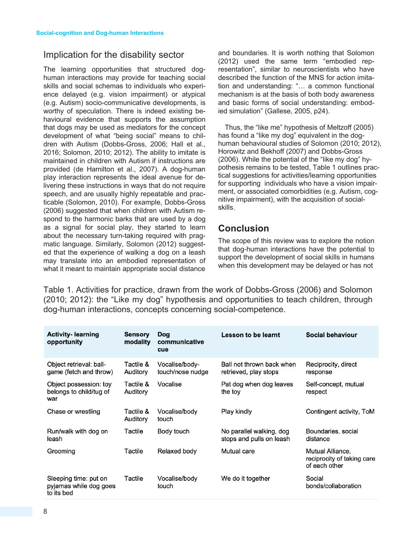#### Implication for the disability sector

The learning opportunities that structured doghuman interactions may provide for teaching social skills and social schemas to individuals who experience delayed (e.g. vision impairment) or atypical (e.g. Autism) socio-communicative developments, is worthy of speculation. There is indeed existing behavioural evidence that supports the assumption that dogs may be used as mediators for the concept development of what "being social" means to children with Autism (Dobbs-Gross, 2006; Hall et al., 2016; Solomon, 2010; 2012). The ability to imitate is maintained in children with Autism if instructions are provided (de Hamilton et al., 2007). A dog-human play interaction represents the ideal avenue for delivering these instructions in ways that do not require speech, and are usually highly repeatable and practicable (Solomon, 2010). For example, Dobbs-Gross (2006) suggested that when children with Autism respond to the harmonic barks that are used by a dog as a signal for social play, they started to learn about the necessary turn-taking required with pragmatic language. Similarly, Solomon (2012) suggested that the experience of walking a dog on a leash may translate into an embodied representation of what it meant to maintain appropriate social distance

and boundaries. It is worth nothing that Solomon (2012) used the same term "embodied representation", similar to neuroscientists who have described the function of the MNS for action imitation and understanding: "… a common functional mechanism is at the basis of both body awareness and basic forms of social understanding: embodied simulation" (Gallese, 2005, p24).

Thus, the "like me" hypothesis of Meltzoff (2005) has found a "like my dog" equivalent in the doghuman behavioural studies of Solomon (2010; 2012), Horowitz and Bekhoff (2007) and Dobbs-Gross (2006). While the potential of the "like my dog" hypothesis remains to be tested, Table 1 outlines practical suggestions for activities/learning opportunities for supporting individuals who have a vision impairment, or associated comorbidities (e.g. Autism, cognitive impairment), with the acquisition of socialskills.

### **Conclusion**

The scope of this review was to explore the notion that dog-human interactions have the potential to support the development of social skills in humans when this development may be delayed or has not

Table 1. Activities for practice, drawn from the work of Dobbs-Gross (2006) and Solomon (2010; 2012): the "Like my dog" hypothesis and opportunities to teach children, through dog-human interactions, concepts concerning social-competence.

| <b>Activity- learning</b><br>opportunity                      | <b>Sensory</b><br>modality | <b>Dog</b><br>communicative<br>cue | Lesson to be learnt                                  | Social behaviour                                                |
|---------------------------------------------------------------|----------------------------|------------------------------------|------------------------------------------------------|-----------------------------------------------------------------|
| Object retrieval: ball-<br>game (fetch and throw)             | Tactile &<br>Auditory      | Vocalise/body-<br>touch/nose nudge | Ball not thrown back when<br>retrieved, play stops   | Reciprocity, direct<br>response                                 |
| Object possession: toy<br>belongs to child/tug of<br>war      | Tactile &<br>Auditory      | Vocalise                           | Pat dog when dog leaves<br>the toy                   | Self-concept, mutual<br>respect                                 |
| Chase or wrestling                                            | Tactile &<br>Auditory      | Vocalise/body<br>touch             | Play kindly                                          | Contingent activity, ToM                                        |
| Run/walk with dog on<br>leash                                 | Tactile                    | Body touch                         | No parallel walking, dog<br>stops and pulls on leash | Boundaries, social<br>distance                                  |
| Grooming                                                      | Tactile                    | Relaxed body                       | Mutual care                                          | Mutual Alliance,<br>reciprocity of taking care<br>of each other |
| Sleeping time: put on<br>pyjamas while dog goes<br>to its bed | Tactile                    | Vocalise/body<br>touch             | We do it together                                    | Social<br>bonds/collaboration                                   |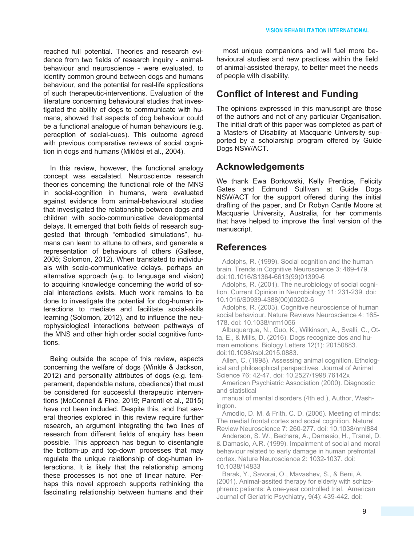reached full potential. Theories and research evidence from two fields of research inquiry - animalbehaviour and neuroscience - were evaluated, to identify common ground between dogs and humans behaviour, and the potential for real-life applications of such therapeutic-interventions. Evaluation of the literature concerning behavioural studies that investigated the ability of dogs to communicate with humans, showed that aspects of dog behaviour could be a functional analogue of human behaviours (e.g. perception of social-cues). This outcome agreed with previous comparative reviews of social cognition in dogs and humans (Miklósi et al., 2004).

In this review, however, the functional analogy concept was escalated. Neuroscience research theories concerning the functional role of the MNS in social-cognition in humans, were evaluated against evidence from animal-behavioural studies that investigated the relationship between dogs and children with socio-communicative developmental delays. It emerged that both fields of research suggested that through "embodied simulations", humans can learn to attune to others, and generate a representation of behaviours of others (Gallese, 2005; Solomon, 2012). When translated to individuals with socio-communicative delays, perhaps an alternative approach (e.g. to language and vision) to acquiring knowledge concerning the world of social interactions exists. Much work remains to be done to investigate the potential for dog-human interactions to mediate and facilitate social-skills learning (Solomon, 2012), and to influence the neurophysiological interactions between pathways of the MNS and other high order social cognitive functions.

Being outside the scope of this review, aspects concerning the welfare of dogs (Winkle & Jackson, 2012) and personality attributes of dogs (e.g. temperament, dependable nature, obedience) that must be considered for successful therapeutic interventions (McConnell & Fine, 2019; Parenti et al., 2015) have not been included. Despite this, and that several theories explored in this review require further research, an argument integrating the two lines of research from different fields of enquiry has been possible. This approach has begun to disentangle the bottom-up and top-down processes that may regulate the unique relationship of dog-human interactions. It is likely that the relationship among these processes is not one of linear nature. Perhaps this novel approach supports rethinking the fascinating relationship between humans and their

most unique companions and will fuel more behavioural studies and new practices within the field of animal-assisted therapy, to better meet the needs of people with disability.

### **Conflict of Interest and Funding**

The opinions expressed in this manuscript are those of the authors and not of any particular Organisation. The initial draft of this paper was completed as part of a Masters of Disability at Macquarie University supported by a scholarship program offered by Guide Dogs NSW/ACT.

### **Acknowledgements**

We thank Ewa Borkowski, Kelly Prentice, Felicity Gates and Edmund Sullivan at Guide Dogs NSW/ACT for the support offered during the initial drafting of the paper, and Dr Robyn Cantle Moore at Macquarie University, Australia, for her comments that have helped to improve the final version of the manuscript.

### **References**

Adolphs, R. (1999). Social cognition and the human brain. Trends in Cognitive Neuroscience 3: 469-479. doi:10.1016/S1364-6613(99)01399-6

Adolphs, R. (2001). The neurobiology of social cognition. Current Opinion in Neurobiology 11: 231-239. doi: 10.1016/S0939-4388(00)00202-6

Adolphs, R. (2003). Cognitive neuroscience of human social behaviour. Nature Reviews Neuroscience 4: 165- 178. doi: 10.1038/nrm1056

Albuquerque, N., Guo, K., Wilkinson, A., Svalli, C., Otta, E., & Mills, D. (2016). Dogs recognize dos and human emotions. Biology Letters 12(1): 20150883. doi:10.1098/rsbl.2015.0883.

Allen, C. (1998). Assessing animal cognition. Ethological and philosophical perspectives. Journal of Animal Science 76: 42-47. doi: 10.2527/1998.76142x

American Psychiatric Association (2000). Diagnostic and statistical

manual of mental disorders (4th ed.), Author, Washington.

Amodio, D. M. & Frith, C. D. (2006). Meeting of minds: The medial frontal cortex and social cognition. Naturel Review Neuroscience 7: 260-277. doi: 10.1038/nrnl884

Anderson, S. W., Bechara, A., Damasio, H., Tranel, D. & Damasio, A.R. (1999). Impairment of social and moral behaviour related to early damage in human prefrontal cortex. Nature Neuroscience 2: 1032-1037. doi: 10.1038/14833

Barak, Y., Savorai, O., Mavashev, S., & Beni, A. (2001). Animal-assited therapy for elderly with schizophrenic patients: A one-year controlled trial. American Journal of Geriatric Psychiatry, 9(4): 439-442. doi: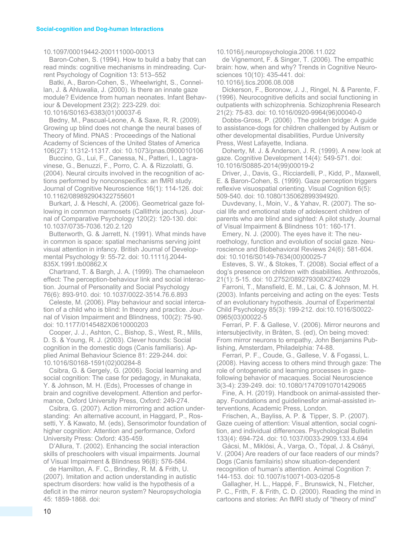#### 10.1097/00019442-200111000-00013

Baron-Cohen, S. (1994). How to build a baby that can read minds: cognitive mechanisms in mindreading. Current Psychology of Cognition 13: 513–552

Batki, A., Baron-Cohen, S., Wheelwright, S., Connellan, J. & Ahluwalia, J. (2000). Is there an innate gaze module? Evidence from human neonates. Infant Behaviour & Development 23(2): 223-229. doi:

10.1016/S0163-6383(01)00037-6

Bedny, M., Pascual-Leone, A. & Saxe, R. R. (2009). Growing up blind does not change the neural bases of Theory of Mind. PNAS : Proceedings of the National Academy of Sciences of the United States of America 106(27): 11312-11317. doi: 10.1073/pnas.0900010106

Buccino, G., Lui, F., Canessa, N., Patteri, I., Lagravinese, G., Benuzzi, F., Porro, C. A. & Rizzolatti, G. (2004). Neural circuits involved in the recognition of actions performed by nonconspecifics: an fMRI study. Journal of Cognitive Neuroscience 16(1): 114-126. doi: 10.1162/089892904322755601

Burkart, J. & Heschl, A. (2006). Geometrical gaze following in common marmosets (Callithrix jacchus). Journal of Comparative Psychology 120(2): 120-130. doi: 10.1037/0735-7036.120.2.120

Butterworth, G. & Jarrett, N. (1991). What minds have in common is space: spatial mechanisms serving joint visual attention in infancy. British Journal of Developmental Psychology 9: 55-72. doi: 10.1111/j.2044- 835X.1991.tb00862.X

Chartrand, T. & Bargh, J. A. (1999). The chamaeleon effect: The perception-behaviour link and social interaction. Journal of Personality and Social Psychology 76(6): 893-910. doi: 10.1037/0022-3514.76.6.893

Celeste, M. (2006). Play behaviour and social intercation of a child who is blind: In theory and practice. Journal of Vision Impairment and Blindness, 100(2): 75-90. doi: 10.1177/0145482X0610000203

Cooper, J. J., Ashton, C., Bishop, S., West, R., Mills, D. S. & Young, R. J. (2003). Clever hounds: Social cognition in the domestic dogs (Canis familiaris). Applied Animal Behaviour Science 81: 229-244. doi: 10.1016/S0168-1591(02)00284-8

Csibra, G. & Gergely, G. (2006). Social learning and social cognition: The case for pedagogy, in Munakata, Y. & Johnson, M. H. (Eds), Processes of change in brain and cognitive development. Attention and performance, Oxford University Press, Oxford: 249-274.

Csibra, G. (2007). Action mirrorring and action understanding: An alternative account, in Haggard, P., Rossetti, Y. & Kawato, M. (eds), Sensorimotor foundation of higher cognition: Attention and performance, Oxford University Press: Oxford: 435-459.

D'Allura, T. (2002). Enhancing the social interaction skills of preschoolers with visual impairments. Journal of Visual Impairment & Blindness 96(8): 576-584.

de Hamilton, A. F. C., Brindley, R. M. & Frith, U. (2007). Imitation and action understanding in autistic spectrum disorders: how valid is the hypothesis of a deficit in the mirror neuron system? Neuropsychologia 45: 1859-1868. doi:

10.1016/j.neuropsychologia.2006.11.022

de Vignemont, F. & Singer, T. (2006). The empathic brain: how, when and why? Trends in Cognitive Neurosciences 10(10): 435-441. doi:

10.1016/j.tics.2006.08.008

Dickerson, F., Boronow, J. J., Ringel, N. & Parente, F. (1996). Neurocognitive deficits and social functioning in outpatients with schizophrenia. Schizophrenia Research 21(2): 75-83. doi: 10.1016/0920-9964(96)00040-0

Dobbs-Gross, P. (2006) . The golden bridge: A guide to assistance-dogs for children challenged by Autism or other developmental disabilities, Purdue University Press, West Lafayette, Indiana.

Doherty, M. J. & Anderson, J. R. (1999). A new look at gaze. Cognitive Development 14(4): 549-571. doi: 10.1016/S0885-2014(99)00019-2

Driver, J., Davis, G., Ricciardelli, P., Kidd, P., Maxwell, E. & Baron-Cohen, S. (1999). Gaze perception triggers reflexive visuospatial orienting. Visual Cognition 6(5): 509-540. doi: 10.1080/135062899394920.

Duvdevany, I., Moin, V., & Yahav, R. (2007). The social life and emotional state of adolescent children of parents who are blind and sighted: A pilot study. Journal of Visual Impairment & Blindness 101: 160-171.

Emery, N. J. (2000). The eyes have it: The neuroethology, function and evolution of social gaze. Neuroscience and Biobehavioral Reviews 24(6): 581-604. doi: 10.1016/S0149-7634(00)00025-7

Esteves, S. W., & Stokes, T. (2008). Social effect of a dog's presence on children with disabilities. Anthrozoös, 21(1): 5-15. doi: 10.2752/089279308X274029

Farroni, T., Mansfield, E. M., Lai, C. & Johnson, M. H. (2003). Infants perceiving and acting on the eyes: Tests of an evolutionary hypothesis. Journal of Experimental Child Psychology 85(3): 199-212. doi:10.1016/S0022- 0965(03)00022-5

Ferrari, P. F. & Gallese, V. (2006). Mirror neurons and intersubjectivity, in Bråten, S. (ed), On being moved: From mirror neurons to empathy, John Benjamins Publishing, Amsterdam, Philadelphia: 74-88.

Ferrari, P. F., Coude, G., Gallese, V. & Fogassi, L. (2008). Having access to others mind through gaze: The role of ontogenetic and learning processes in gazefollowing behavior of macaques. Social Neuroscience 3(3-4): 239-249. doi: 10.1080/17470910701429065

Fine, A. H. (2019). Handbook on animal-assisted therapy. Foundations and guidelinesfor animal-assisted interventions, Academic Press, London.

Frischen, A., Bayliss, A. P. & Tipper, S. P. (2007). Gaze cueing of attention: Visual attention, social cognition, and individual differences. Psychological Bulletin 133(4): 694-724. doi: 10.1037/0033-2909.133.4.694

Gácsi, M., Miklósi, Á., Varga, O., Tópal, J. & Csányi, V. (2004) Are readers of our face readers of our minds? Dogs (Canis familairis) show situation-dependent recognition of human's attention. Animal Cognition 7: 144-153. doi: 10.1007/s10071-003-0205-8

Gallagher, H. L., Happé, F., Brunswick, N., Fletcher, P. C., Frith, F. & Frith, C. D. (2000). Reading the mind in cartoons and stories: An fMRI study of "theory of mind"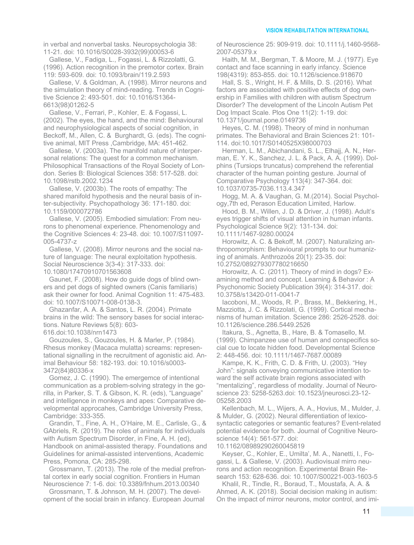in verbal and nonverbal tasks. Neuropsychologia 38: 11-21. doi: 10.1016/S0028-3932(99)00053-6

Gallese, V., Fadiga, L., Fogassi, L. & Rizzolatti, G. (1996). Action recognition in the premotor cortex. Brain 119: 593-609. doi: 10.1093/brain/119.2.593

Gallese, V. & Goldman, A. (1998). Mirror neurons and the simulation theory of mind-reading. Trends in Cognitive Science 2: 493-501. doi: 10.1016/S1364- 6613(98)01262-5

Gallese, V., Ferrari, P., Kohler, E. & Fogassi, L. (2002). The eyes, the hand, and the mind: Behavioural and neurophysiological aspects of social cognition, in Beckoff, M., Allen, C. & Burghardt, G. (eds). The cognitive animal, MIT Press ,Cambridge, MA: 451-462.

Gallese, V. (2003a). The manifold nature of interpersonal relations: The quest for a common mechanism. Philosophical Transactions of the Royal Society of London. Series B: Biological Sciences 358: 517-528. doi: 10.1098/rstb.2002.1234

Gallese, V. (2003b). The roots of empathy: The shared manifold hypothesis and the neural basis of inter-subjectivity. Psychopathology 36: 171-180. doi: 10.1159/000072786

Gallese, V. (2005). Embodied simulation: From neurons to phenomenal experience. Phenomenology and the Cognitive Sciences 4: 23-48. doi: 10.1007/S11097- 005-4737-z

Gallese, V. (2008). Mirror neurons and the social nature of language: The neural exploitation hypothesis. Social Neuroscience 3(3-4): 317-333. doi: 10.1080/17470910701563608

Gaunet, F. (2008). How do guide dogs of blind owners and pet dogs of sighted owners (Canis familiaris) ask their owner for food. Animal Cognition 11: 475-483. doi: 10.1007/S10071-008-0138-3.

Ghazanfar, A. A. & Santos, L. R. (2004). Primate brains in the wild: The sensory bases for social interactions. Nature Reviews 5(8): 603- 616.doi:10.1038/nrn1473

Gouzoules, S., Gouzoules, H. & Marler, P. (1984). Rhesus monkey (Macaca mulatta) screams: representational signalling in the recruitment of agonistic aid. Animal Behaviour 58: 182-193. doi: 10.1016/s0003- 3472(84)80336-x

Gomez, J. C. (1990). The emergemce of intentional communication as a problem-solving strategy in the gorilla, in Parker, S. T. & Gibson, K. R. (eds), "Language" and intelligence in monkeys and apes: Comparative developmental approcahes, Cambridge University Press, Cambridge: 333-355.

Grandin, T., Fine, A. H., O'Haire, M. E., Carlisle, G., & GAbriels, R. (2019). The roles of animals for individuals with Autism Spectrum Disorder, in Fine, A. H. (ed), Handbook on animal-assisted therapy. Foundations and Guidelines for animal-assisted interventions, Academic Press, Pomona, CA: 285-298.

Grossmann, T. (2013). The role of the medial prefrontal cortex in early social cognition. Frontiers in Human Neuroscience 7: 1-6. doi: 10.3389/fnhum.2013.00340

Grossmann, T. & Johnson, M. H. (2007). The development of the social brain in infancy. European Journal of Neuroscience 25: 909-919. doi: 10.1111/j.1460-9568- 2007-05379.x

Haith, M. M., Bergman, T. & Moore, M. J. (1977). Eye contact and face scanning in early infancy. Science 198(4319): 853-855. doi: 10.1126/science.918670

Hall, S. S., Wright, H. F. & Mills, D. S. (2016). What factors are associated with positive effects of dog ownership in Families with children with autism Spectrum Disorder? The development of the Lincoln Autism Pet Dog Impact Scale. Plos One 11(2): 1-19. doi: 10.1371/journal.pone.0149736

Heyes, C. M. (1998). Theory of mind in nonhuman primates. The Behavioral and Brain Sciences 21: 101- 114. doi:10.1017/S0140525X98000703

Herman, L. M., Abichandani, S. L., Elhajj, A. N., Herman, E. Y. K., Sanchez, J. L. & Pack, A. A. (1999). Dolphins (Tursiops truncatus) comprehend the referential character of the human pointing gesture. Journal of Comparative Psychology 113(4): 347-364. doi: 10.1037/0735-7036.113.4.347

Hogg, M. A. & Vaughan, G. M.(2014). Social Psychology,7th ed, Perason Education Limited, Harlow.

Hood, B. M., Willen, J. D. & Driver, J. (1998). Adult's eyes trigger shifts of visual attention in human infants. Psychological Science 9(2): 131-134. doi: 10.1111/1467-9280.00024

Horowitz, A. C. & Bekoff, M. (2007). Naturalizing an-

thropomorphism: Behavioural prompts to our humanizing of animals. Anthrozoös 20(1): 23-35. doi: 10.2752/089279307780216650

Horowitz, A. C. (2011). Theory of mind in dogs? Examining method and concept. Learning & Behavior : A Psychonomic Society Publication 39(4): 314-317. doi: 10.3758/s13420-011-0041-7

Iacoboni, M., Woods, R. P., Brass, M., Bekkering, H., Mazziotta, J. C. & Rizzolati, G. (1999). Cortical mechanisms of human imitation. Science 286: 2526-2528. doi: 10.1126/science.286.5449.2526

Itakura, S., Agnetta, B., Hare, B. & Tomasello, M. (1999). Chimpanzee use of human and conspecifics social cue to locate hidden food. Developmental Science 2: 448-456. doi: 10.1111/1467-7687.00089

Kampe, K. K., Frith, C. D. & Frith, U. (2003). "Hey John": signals conveying communicative intention toward the self activate brain regions associated with "mentalizing", regardless of modality. Journal of Neuroscience 23: 5258-5263.doi: 10.1523/jneurosci.23-12- 05258.2003

Kellenbach, M. L., Wijers, A. A., Hovius, M., Mulder, J. & Mulder, G. (2002). Neural differentiation of lexicosyntactic categories or semantic features? Event-related potential evidence for both. Journal of Cognitive Neuroscience 14(4): 561-577. doi:

10.1162/08989290260045819

Keyser, C., Kohler, E., Umilta', M. A., Nanetti, I., Fogassi, L. & Gallese, V. (2003). Audiovisual mirro neurons and action recognition. Experimental Brain Research 153: 628-636. doi: 10.1007/S00221-003-1603-5

Khalil, R., Tindle, R., Boraud, T., Moustafa, A. A. & Ahmed, A. K. (2018). Social decision making in autism: On the impact of mirror neurons, motor control, and imi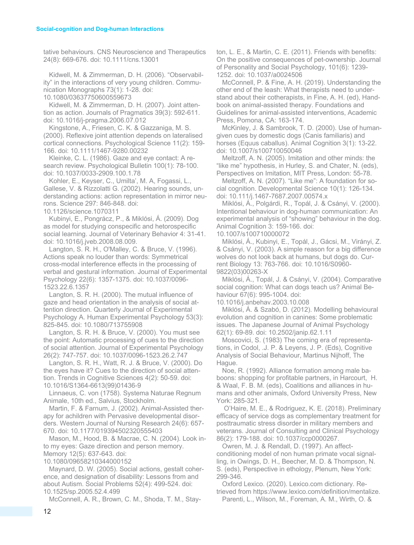tative behaviours. CNS Neuroscience and Therapeutics 24(8): 669-676. doi: 10.1111/cns.13001

Kidwell, M. & Zimmerman, D. H. (2006). "Observability" in the interactions of very young children. Communication Monographs 73(1): 1-28. doi: 10.1080/03637750600559673

Kidwell, M. & Zimmerman, D. H. (2007). Joint attention as action. Journals of Pragmatics 39(3): 592-611. doi: 10.1016/j-pragma.2006.07.012

Kingstone, A., Friesen, C. K. & Gazzaniga, M. S. (2000). Reflexive joint attention depends on lateralised cortical connections. Psychological Science 11(2): 159- 166. doi: 10.1111/1467-9280.00232

Kleinke, C. L. (1986). Gaze and eye contact: A research review. Psychological Bulletin 100(1): 78-100. doi: 10.1037/0033-2909.100.1.78

Kohler, E., Keyser, C., Umilta', M. A, Fogassi, L., Gallese, V. & Rizzolatti G. (2002). Hearing sounds, understanding actions: action representation in mirror neurons. Science 297: 846-848. doi:

10.1126/science.1070311

Kubinyi, E., Pongrácz, P., & Miklósi, Á. (2009). Dog as model for studying conspecific and hetorospecific social learning. Journal of Veterinary Behavior 4: 31-41. doi: 10.1016/j.jveb.2008.08.009.

Langton, S. R. H., O'Malley, C. & Bruce, V. (1996). Actions speak no louder than words: Symmetrical cross-modal interference effects in the processing of verbal and gestural information. Journal of Experimental Psychology 22(6): 1357-1375. doi: 10.1037/0096- 1523.22.6.1357

Langton, S. R. H. (2000). The mutual influence of gaze and head orientation in the analysis of social attention direction. Quarterly Journal of Experimental Psychology A. Human Experimental Psychology 53(3): 825-845. doi: 10.1080/713755908

Langton, S. R. H. & Bruce, V. (2000). You must see the point: Automatic processing of cues to the direction of social attention. Journal of Experimental Psychology 26(2): 747-757. doi: 10.1037/0096-1523.26.2.747

Langton, S. R. H., Watt, R. J. & Bruce, V. (2000). Do the eyes have it? Cues to the direction of social attention. Trends in Cognitive Sciences 4(2): 50-59. doi: 10.1016/S1364-6613(99)01436-9

Linnaeus, C. von (1758). Systema Naturae Regnum Animale, 10th ed., Salvius, Stockholm.

Martin, F. & Farnum, J. (2002). Animal-Assisted therapy for achildren with Pervasive developmental disorders. Western Journal of Nursing Research 24(6): 657- 670. doi: 10.1177/019394502320555403

Mason, M., Hood, B. & Macrae, C. N. (2004). Look into my eyes: Gaze direction and person memory. Memory 12(5): 637-643. doi:

10.1080/09658210344000152

Maynard, D. W. (2005). Social actions, gestalt coherence, and designation of disability: Lessons from and about Autism. Social Problems 52(4): 499-524. doi: 10.1525/sp.2005.52.4.499

McConnell, A. R., Brown, C. M., Shoda, T. M., Stay-

ton, L. E., & Martin, C. E. (2011). Friends with benefits: On the positive consequences of pet-ownership. Journal of Personality and Social Psychology, 101(6): 1239- 1252. doi: 10.1037/a0024506

McConnell, P. & Fine, A. H. (2019). Understanding the other end of the leash: What therapists need to understand about their cotherapists, in Fine, A. H. (ed), Handbook on animal-assisted therapy. Foundations and Guidelines for animal-assisted interventions, Academic Press, Pomona, CA: 163-174.

McKinley, J. & Sambrook, T. D. (2000). Use of humangiven cues by domestic dogs (Canis familiaris) and horses (Equus caballus). Animal Cognition 3(1): 13-22. doi: 10.1007/s100710050046

Meltzoff, A. N. (2005). Imitation and other minds: the "like me" hypothesis, in Hurley, S. and Chater, N. (eds), Perspectives on Imitation, MIT Press, London: 55-78.

Meltzoff, A. N. (2007). "Like me": A foundation for social cognition. Developmental Science 10(1): 126-134. doi: 10.111/j.1467-7687.2007.00574.x

Miklósi, Á., Polgárdi, R., Topál, J. & Csányi, V. (2000). Intentional behaviour in dog-human communication: An experimental analysis of "showing" behaviour in the dog. Animal Cognition 3: 159-166. doi:

10.1007/s100710000072

Miklósi, Á., Kubinyi, E., Topál, J., Gácsi, M., Virányi, Z. & Csányi, V. (2003). A simple reason for a big difference wolves do not look back at humans, but dogs do. Current Biology 13: 763-766. doi: 10.1016/S0960- 9822(03)00263-X

Miklósi, Á., Topál, J. & Csányi, V. (2004). Comparative social cognition: What can dogs teach us? Animal Behaviour 67(6): 995-1004. doi:

10.1016/j.anbehav.2003.10.008

Miklósi, Á. & Szabó, D. (2012). Modelling behavioural evolution and cognition in canines: Some problematic issues. The Japanese Journal of Animal Psychology 62(1): 69-89. doi: 10.2502/janip.62.1.11

Moscovici, S. (1983) The coming era of representations, in Codol, .J. P. & Leyens, J. P. (Eds), Cognitive Analysis of Social Behaviour, Martinus Nijhoff, The Hague.

Noe, R. (1992). Alliance formation among male baboons: shopping for profitable partners, in Harcourt, H. & Waal, F. B. M. (eds), Coalitions and alliances in humans and other animals, Oxford University Press, New York: 285-321.

O'Haire, M. E., & Rodriguez, K. E. (2018). Preliminary efficacy of service dogs as complementary treatment for posttraumatic stress disorder in military members and veterans. Journal of Consulting and Clinical Psychology 86(2): 179-188. doi: 10.1037/ccp0000267.

Owren, M. J. & Rendall, D. (1997). An affectconditioning model of non human primate vocal signalling, in Owings, D. H., Beecher, M. D. & Thompson, N. S. (eds), Perspective in ethology, Plenum, New York: 299-346.

Oxford Lexico. (2020). Lexico.com dictionary. Retrieved from https://www.lexico.com/definition/mentalize. Parenti, L., Wilson, M., Foreman, A. M., Wirth, O. &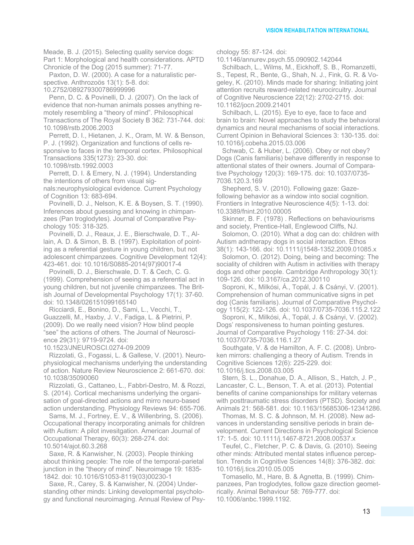Meade, B. J. (2015). Selecting quality service dogs: Part 1: Morphological and health considerations. APTD Chronicle of the Dog (2015 summer): 71-77.

Paxton, D. W. (2000). A case for a naturalistic perspective. Anthrozoös 13(1): 5-8. doi:

10.2752/089279300786999996

Penn, D. C. & Povinelli, D. J. (2007). On the lack of evidence that non-human animals posses anything remotely resembling a "theory of mind". Philosophical Transactions of The Royal Society B 362: 731-744. doi: 10.1098/rstb.2006.2003

Perrett, D. I., Hietanen, J. K., Oram, M. W. & Benson, P. J. (1992). Organization and functions of cells responsive to faces in the temporal cortex. Philosophical Transactions 335(1273): 23-30. doi: 10.1098/rstb.1992.0003

Perrett, D. I. & Emery, N. J. (1994). Understanding the intentions of others from visual signals:neurophysiological evidence. Current Psychology of Cognition 13: 683-694.

Povinelli, D. J., Nelson, K. E. & Boysen, S. T. (1990). Inferences about guessing and knowing in chimpanzees (Pan troglodytes). Journal of Comparative Psychology 105: 318-325.

Povinelli, D. J., Reaux, J. E., Bierschwale, D. T., Allain, A. D. & Simon, B. B. (1997). Exploitation of pointing as a referential gesture in young children, but not adolescent chimpanzees. Cognitive Development 12(4): 423-461. doi: 10.1016/S0885-2014(97)90017-4

Povinelli, D. J., Bierschwale, D. T. & Cech, C. G. (1999). Comprehension of seeing as a referential act in young children, but not juvenile chimpanzees. The British Journal of Developmental Psychology 17(1): 37-60. doi: 10.1348/026151099165140

Ricciardi, E., Bonino, D., Sami, L., Vecchi, T., Guazzelli, M., Haxby, J. V., Fadiga, L. & Pietrini, P. (2009). Do we really need vision? How blind people "see" the actions of others. The Journal of Neuroscience 29(31): 9719-9724. doi:

10.1523/JNEUROSCI.0274-09.2009

Rizzolati, G., Fogassi, L. & Gallese, V. (2001). Neurophysiological mechanisms underlying the understanding of action. Nature Review Neuroscience 2: 661-670. doi: 10.1038/35090060

Rizzolati, G., Cattaneo, L., Fabbri-Destro, M. & Rozzi, S. (2014). Cortical mechanisms underlying the organisation of goal-directed actions and mirro neuro-based action understanding. Physiology Reviews 94: 655-706.

Sams, M. J., Fortney, E. V., & Willenbring, S. (2006). Occupational therapy incorporating animals for children with Autism: A pilot invesitgation. American Journal of Occupational Therapy, 60(3): 268-274. doi: 10.5014/ajot.60.3.268

Saxe, R. & Kanwisher, N. (2003). People thinking about thinking people: The role of the temporal-parietal junction in the "theory of mind". Neuroimage 19: 1835- 1842. doi: 10.1016/S1053-8119(03)00230-1

Saxe, R., Carey, S. & Kanwisher, N. (2004) Understanding other minds: Linking developmental psychology and functional neuroimaging. Annual Review of Psychology 55: 87-124. doi:

10.1146/annurev.psych.55.090902.142044

Schilbach, L., Wilms, M., Eickhoff, S. B., Romanzetti, S., Tepest, R., Bente, G., Shah, N. J., Fink, G. R. & Vogeley, K. (2010). Minds made for sharing: Initiating joint attention recruits reward-related neurocircuitry. Journal of Cognitive Neuroscience 22(12): 2702-2715. doi: 10.1162/jocn.2009.21401

Schilbach, L. (2015). Eye to eye, face to face and brain to brain: Novel approaches to study the behavioral dynamics and neural mechanisms of social interactions. Current Opinion in Behavioral Sciences 3: 130-135. doi: 10.1016/j.cobeha.2015.03.006

Schwab, C. & Huber, L. (2006). Obey or not obey? Dogs (Canis familiaris) behave differently in response to attentional states of their owners. Journal of Comparative Psychology 120(3): 169-175. doi: 10.1037/0735- 7036.120.3.169

Shepherd, S. V. (2010). Following gaze: Gazefollowing behavior as a window into social cognition. Frontiers in Integrative Neuroscience 4(5): 1-13. doi: 10.3389/fnint.2010.00005

Skinner, B. F. (1978) . Reflections on behaviourisms and society, Prentice-Hall, Englewood Cliffs, NJ.

Solomon, O. (2010). What a dog can do: children with Autism adntherapy dogs in social interaction. Ethos 38(1): 143-166. doi: 10.1111/j1548-1352.2009.01085.x

Solomon, O. (2012). Doing, being and becoming: The sociality of children with Autism in activities with therapy dogs and other people. Cambridge Anthropology 30(1): 109-126. doi: 10.3167/ca.2012.300110

Soproni, K., Milkósi, Á., Topál, J. & Csányi, V. (2001). Comprehension of human communicative signs in pet dog (Canis familiaris). Journal of Comparative Psychology 115(2): 122-126. doi: 10.1037/0735-7036.115.2.122

Soproni, K., Milkósi, Á., Topál, J. & Csányi, V. (2002). Dogs' responsiveness to human pointing gestures. Journal of Comparative Psychology 116: 27-34. doi: 10.1037/0735-7036.116.1.27

Southgate, V. & de Hamilton, A. F. C. (2008). Unbroken mirrors: challenging a theory of Autism. Trends in Cognitive Sciences 12(6): 225-229. doi: 10.1016/j.tics.2008.03.005

Stern, S. L., Donahue, D. A., Allison, S., Hatch, J. P., Lancaster, C. L., Benson, T. A. et al. (2013). Potential benefits of canine companionships for military veternas with posttraumatic stress disorders (PTSD). Society and Animals 21: 568-581. doi: 10.1163/15685306-12341286.

Thomas, M. S. C. & Johnson, M. H. (2008). New advances in understanding sensitive periods in brain development. Current Directions in Psychological Science 17: 1-5. doi: 10.1111/j.1467-8721.2008.00537.x

Teufel, C., Fletcher, P. C. & Davis, G. (2010). Seeing other minds: Attributed mental states influence perception. Trends in Cognitive Sciences 14(8): 376-382. doi: 10.1016/j.tics.2010.05.005

Tomasello, M., Hare, B. & Agnetta, B. (1999). Chimpanzees, Pan troglodytes, follow gaze direction geometrically. Animal Behaviour 58: 769-777. doi: 10.1006/anbc.1999.1192.